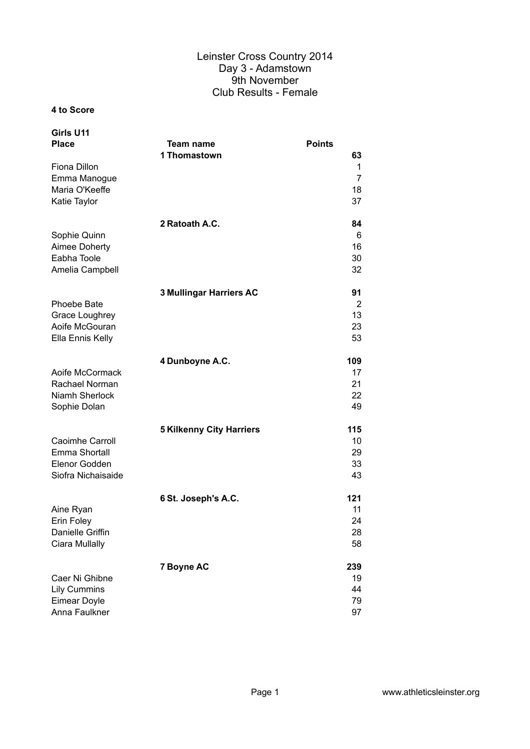#### **4 to Score**

| Girls U11<br><b>Place</b>            | <b>Team name</b><br>1 Thomastown | <b>Points</b><br>63 |
|--------------------------------------|----------------------------------|---------------------|
| Fiona Dillon<br>Emma Manogue         |                                  | 1<br>$\overline{7}$ |
| Maria O'Keeffe<br>Katie Taylor       |                                  | 18<br>37            |
|                                      |                                  |                     |
| Sophie Quinn                         | 2 Ratoath A.C.                   | 84<br>6             |
| Aimee Doherty                        |                                  | 16                  |
| Eabha Toole                          |                                  | 30                  |
| Amelia Campbell                      |                                  | 32                  |
|                                      | 3 Mullingar Harriers AC          | 91                  |
| Phoebe Bate                          |                                  | 2                   |
| Grace Loughrey<br>Aoife McGouran     |                                  | 13<br>23            |
| Ella Ennis Kelly                     |                                  | 53                  |
|                                      | 4 Dunboyne A.C.                  | 109                 |
| Aoife McCormack                      |                                  | 17                  |
| Rachael Norman                       |                                  | 21                  |
| Niamh Sherlock<br>Sophie Dolan       |                                  | 22<br>49            |
|                                      | <b>5 Kilkenny City Harriers</b>  | 115                 |
| Caoimhe Carroll                      |                                  | 10                  |
| Emma Shortall                        |                                  | 29                  |
| Elenor Godden                        |                                  | 33                  |
| Siofra Nichaisaide                   |                                  | 43                  |
|                                      | 6 St. Joseph's A.C.              | 121                 |
| Aine Ryan                            |                                  | 11                  |
| Erin Foley<br>Danielle Griffin       |                                  | 24<br>28            |
| Ciara Mullally                       |                                  | 58                  |
|                                      | 7 Boyne AC                       | 239                 |
| Caer Ni Ghibne                       |                                  | 19                  |
| <b>Lily Cummins</b>                  |                                  | 44                  |
| <b>Eimear Doyle</b><br>Anna Faulkner |                                  | 79<br>97            |
|                                      |                                  |                     |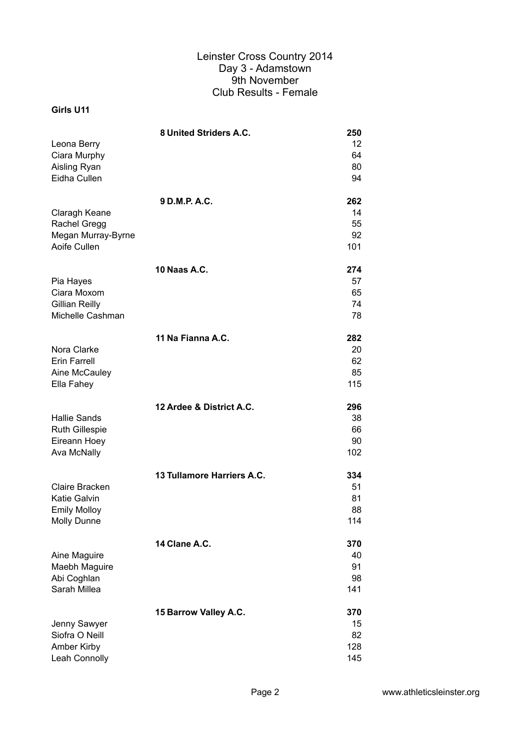|                       | 8 United Striders A.C.     | 250 |
|-----------------------|----------------------------|-----|
| Leona Berry           |                            | 12  |
| Ciara Murphy          |                            | 64  |
| Aisling Ryan          |                            | 80  |
| Eidha Cullen          |                            | 94  |
|                       | 9 D.M.P. A.C.              | 262 |
| Claragh Keane         |                            | 14  |
| <b>Rachel Gregg</b>   |                            | 55  |
| Megan Murray-Byrne    |                            | 92  |
| Aoife Cullen          |                            | 101 |
|                       | <b>10 Naas A.C.</b>        | 274 |
| Pia Hayes             |                            | 57  |
| Ciara Moxom           |                            | 65  |
| <b>Gillian Reilly</b> |                            | 74  |
| Michelle Cashman      |                            | 78  |
|                       | 11 Na Fianna A.C.          | 282 |
| Nora Clarke           |                            | 20  |
| <b>Erin Farrell</b>   |                            | 62  |
| Aine McCauley         |                            | 85  |
| Ella Fahey            |                            | 115 |
|                       | 12 Ardee & District A.C.   | 296 |
| <b>Hallie Sands</b>   |                            | 38  |
| <b>Ruth Gillespie</b> |                            | 66  |
| Eireann Hoey          |                            | 90  |
| Ava McNally           |                            | 102 |
|                       | 13 Tullamore Harriers A.C. | 334 |
| Claire Bracken        |                            | 51  |
| <b>Katie Galvin</b>   |                            | 81  |
| <b>Emily Molloy</b>   |                            | 88  |
| Molly Dunne           |                            | 114 |
|                       | 14 Clane A.C.              | 370 |
| Aine Maguire          |                            | 40  |
| Maebh Maguire         |                            | 91  |
| Abi Coghlan           |                            | 98  |
| Sarah Millea          |                            | 141 |
|                       | 15 Barrow Valley A.C.      | 370 |
| Jenny Sawyer          |                            | 15  |
| Siofra O Neill        |                            | 82  |
| Amber Kirby           |                            | 128 |
| Leah Connolly         |                            | 145 |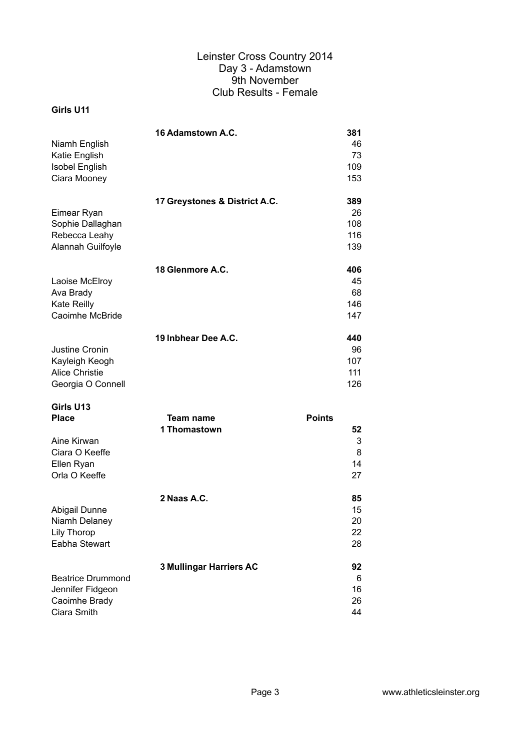|                       | 16 Adamstown A.C.                                   | 381    |
|-----------------------|-----------------------------------------------------|--------|
| Niamh English         |                                                     | 46     |
| Katie English         |                                                     | 73     |
| <b>Isobel English</b> |                                                     | 109    |
| Ciara Mooney          |                                                     | 153    |
|                       | 17 Greystones & District A.C.                       | 389    |
| Eimear Ryan           |                                                     | 26     |
| Sophie Dallaghan      |                                                     | 108    |
| Rebecca Leahy         |                                                     | 116    |
| Alannah Guilfoyle     |                                                     | 139    |
|                       | 18 Glenmore A.C.                                    | 406    |
| Laoise McElroy        |                                                     | 45     |
| Ava Brady             |                                                     | 68     |
| Kate Reilly           |                                                     | 146    |
| Caoimhe McBride       |                                                     | 147    |
|                       | 19 Inbhear Dee A.C.                                 | 440    |
| Justine Cronin        |                                                     | 96     |
| Kayleigh Keogh        |                                                     | 107    |
| <b>Alice Christie</b> |                                                     | 111    |
| Georgia O Connell     |                                                     | 126    |
| Girls U13             |                                                     |        |
| <b>DIooo</b>          | $T_{\alpha\alpha\mu\alpha\mu\alpha\mu\alpha\sigma}$ | Dainte |

| <b>Points</b> |
|---------------|
| 52            |
| 3             |
| 8             |
| 14            |
| 27            |
| 85            |
| 15            |
| 20            |
| 22            |
| 28            |
| 92            |
| 6             |
| 16            |
| 26            |
| 44            |
|               |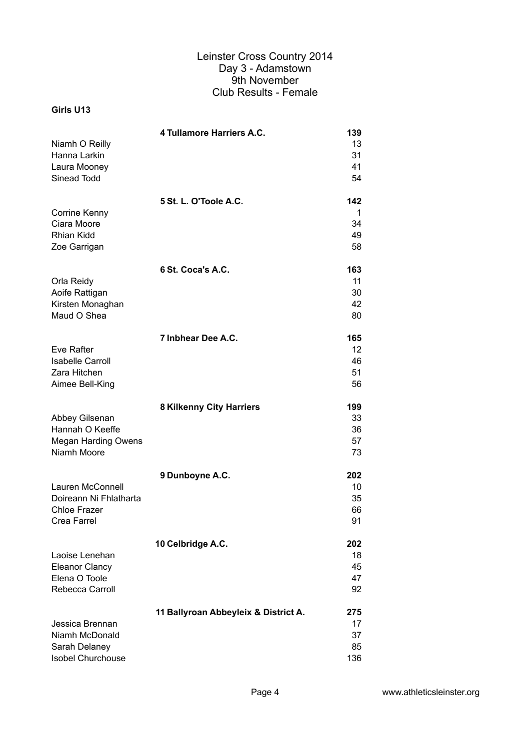| 13<br>31<br>41<br>Laura Mooney<br>Sinead Todd<br>54<br>5 St. L. O'Toole A.C.<br>142<br>Corrine Kenny<br>1<br>Ciara Moore<br>34<br><b>Rhian Kidd</b><br>49<br>58<br>Zoe Garrigan<br>6 St. Coca's A.C.<br>163<br>11<br>Orla Reidy<br>30<br>Kirsten Monaghan<br>42<br>Maud O Shea<br>80<br>7 Inbhear Dee A.C.<br>165<br>12 <sup>2</sup><br><b>Isabelle Carroll</b><br>46<br>Zara Hitchen<br>51<br>Aimee Bell-King<br>56<br><b>8 Kilkenny City Harriers</b><br>199<br>33<br>Hannah O Keeffe<br>36<br><b>Megan Harding Owens</b><br>57<br>Niamh Moore<br>73<br>9 Dunboyne A.C.<br>202<br>10<br>Doireann Ni Fhlatharta<br>35<br><b>Chloe Frazer</b><br>66<br>91<br>Crea Farrel<br>10 Celbridge A.C.<br>202<br>18<br><b>Eleanor Clancy</b><br>45<br>Elena O Toole<br>47<br>Rebecca Carroll<br>92<br>11 Ballyroan Abbeyleix & District A.<br>275 |                  | 4 Tullamore Harriers A.C. | 139 |
|------------------------------------------------------------------------------------------------------------------------------------------------------------------------------------------------------------------------------------------------------------------------------------------------------------------------------------------------------------------------------------------------------------------------------------------------------------------------------------------------------------------------------------------------------------------------------------------------------------------------------------------------------------------------------------------------------------------------------------------------------------------------------------------------------------------------------------------|------------------|---------------------------|-----|
|                                                                                                                                                                                                                                                                                                                                                                                                                                                                                                                                                                                                                                                                                                                                                                                                                                          | Niamh O Reilly   |                           |     |
|                                                                                                                                                                                                                                                                                                                                                                                                                                                                                                                                                                                                                                                                                                                                                                                                                                          | Hanna Larkin     |                           |     |
|                                                                                                                                                                                                                                                                                                                                                                                                                                                                                                                                                                                                                                                                                                                                                                                                                                          |                  |                           |     |
|                                                                                                                                                                                                                                                                                                                                                                                                                                                                                                                                                                                                                                                                                                                                                                                                                                          |                  |                           |     |
|                                                                                                                                                                                                                                                                                                                                                                                                                                                                                                                                                                                                                                                                                                                                                                                                                                          |                  |                           |     |
|                                                                                                                                                                                                                                                                                                                                                                                                                                                                                                                                                                                                                                                                                                                                                                                                                                          |                  |                           |     |
|                                                                                                                                                                                                                                                                                                                                                                                                                                                                                                                                                                                                                                                                                                                                                                                                                                          |                  |                           |     |
|                                                                                                                                                                                                                                                                                                                                                                                                                                                                                                                                                                                                                                                                                                                                                                                                                                          |                  |                           |     |
|                                                                                                                                                                                                                                                                                                                                                                                                                                                                                                                                                                                                                                                                                                                                                                                                                                          |                  |                           |     |
|                                                                                                                                                                                                                                                                                                                                                                                                                                                                                                                                                                                                                                                                                                                                                                                                                                          |                  |                           |     |
|                                                                                                                                                                                                                                                                                                                                                                                                                                                                                                                                                                                                                                                                                                                                                                                                                                          |                  |                           |     |
|                                                                                                                                                                                                                                                                                                                                                                                                                                                                                                                                                                                                                                                                                                                                                                                                                                          | Aoife Rattigan   |                           |     |
|                                                                                                                                                                                                                                                                                                                                                                                                                                                                                                                                                                                                                                                                                                                                                                                                                                          |                  |                           |     |
|                                                                                                                                                                                                                                                                                                                                                                                                                                                                                                                                                                                                                                                                                                                                                                                                                                          |                  |                           |     |
|                                                                                                                                                                                                                                                                                                                                                                                                                                                                                                                                                                                                                                                                                                                                                                                                                                          |                  |                           |     |
|                                                                                                                                                                                                                                                                                                                                                                                                                                                                                                                                                                                                                                                                                                                                                                                                                                          | Eve Rafter       |                           |     |
|                                                                                                                                                                                                                                                                                                                                                                                                                                                                                                                                                                                                                                                                                                                                                                                                                                          |                  |                           |     |
|                                                                                                                                                                                                                                                                                                                                                                                                                                                                                                                                                                                                                                                                                                                                                                                                                                          |                  |                           |     |
|                                                                                                                                                                                                                                                                                                                                                                                                                                                                                                                                                                                                                                                                                                                                                                                                                                          |                  |                           |     |
|                                                                                                                                                                                                                                                                                                                                                                                                                                                                                                                                                                                                                                                                                                                                                                                                                                          |                  |                           |     |
|                                                                                                                                                                                                                                                                                                                                                                                                                                                                                                                                                                                                                                                                                                                                                                                                                                          | Abbey Gilsenan   |                           |     |
|                                                                                                                                                                                                                                                                                                                                                                                                                                                                                                                                                                                                                                                                                                                                                                                                                                          |                  |                           |     |
|                                                                                                                                                                                                                                                                                                                                                                                                                                                                                                                                                                                                                                                                                                                                                                                                                                          |                  |                           |     |
|                                                                                                                                                                                                                                                                                                                                                                                                                                                                                                                                                                                                                                                                                                                                                                                                                                          |                  |                           |     |
|                                                                                                                                                                                                                                                                                                                                                                                                                                                                                                                                                                                                                                                                                                                                                                                                                                          |                  |                           |     |
|                                                                                                                                                                                                                                                                                                                                                                                                                                                                                                                                                                                                                                                                                                                                                                                                                                          | Lauren McConnell |                           |     |
|                                                                                                                                                                                                                                                                                                                                                                                                                                                                                                                                                                                                                                                                                                                                                                                                                                          |                  |                           |     |
|                                                                                                                                                                                                                                                                                                                                                                                                                                                                                                                                                                                                                                                                                                                                                                                                                                          |                  |                           |     |
|                                                                                                                                                                                                                                                                                                                                                                                                                                                                                                                                                                                                                                                                                                                                                                                                                                          |                  |                           |     |
|                                                                                                                                                                                                                                                                                                                                                                                                                                                                                                                                                                                                                                                                                                                                                                                                                                          |                  |                           |     |
|                                                                                                                                                                                                                                                                                                                                                                                                                                                                                                                                                                                                                                                                                                                                                                                                                                          | Laoise Lenehan   |                           |     |
|                                                                                                                                                                                                                                                                                                                                                                                                                                                                                                                                                                                                                                                                                                                                                                                                                                          |                  |                           |     |
|                                                                                                                                                                                                                                                                                                                                                                                                                                                                                                                                                                                                                                                                                                                                                                                                                                          |                  |                           |     |
|                                                                                                                                                                                                                                                                                                                                                                                                                                                                                                                                                                                                                                                                                                                                                                                                                                          |                  |                           |     |
|                                                                                                                                                                                                                                                                                                                                                                                                                                                                                                                                                                                                                                                                                                                                                                                                                                          |                  |                           |     |
|                                                                                                                                                                                                                                                                                                                                                                                                                                                                                                                                                                                                                                                                                                                                                                                                                                          | Jessica Brennan  |                           | 17  |
| Niamh McDonald<br>37<br>Sarah Delaney<br>85                                                                                                                                                                                                                                                                                                                                                                                                                                                                                                                                                                                                                                                                                                                                                                                              |                  |                           |     |
| Isobel Churchouse<br>136                                                                                                                                                                                                                                                                                                                                                                                                                                                                                                                                                                                                                                                                                                                                                                                                                 |                  |                           |     |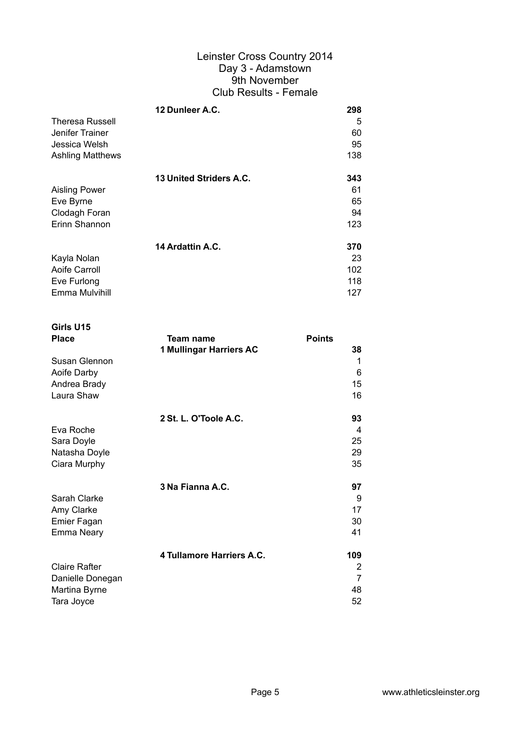|                         | 12 Dunleer A.C.         | 298 |
|-------------------------|-------------------------|-----|
| <b>Theresa Russell</b>  |                         | 5   |
| Jenifer Trainer         |                         | 60  |
| Jessica Welsh           |                         | 95  |
| <b>Ashling Matthews</b> |                         | 138 |
|                         | 13 United Striders A.C. | 343 |
|                         |                         |     |
| <b>Aisling Power</b>    |                         | 61  |
| Eve Byrne               |                         | 65  |
| Clodagh Foran           |                         | 94  |
| Erinn Shannon           |                         | 123 |
|                         | 14 Ardattin A.C.        | 370 |
| Kayla Nolan             |                         | 23  |
| Aoife Carroll           |                         | 102 |
|                         |                         |     |
| Eve Furlong             |                         | 118 |
| Emma Mulvihill          |                         | 127 |

| Girls U15<br><b>Place</b>                                  | Team name                 | <b>Points</b>            |
|------------------------------------------------------------|---------------------------|--------------------------|
| Susan Glennon<br>Aoife Darby<br>Andrea Brady<br>Laura Shaw | 1 Mullingar Harriers AC   | 38<br>1<br>6<br>15<br>16 |
| Eva Roche                                                  | 2 St. L. O'Toole A.C.     | 93<br>4<br>25            |
| Sara Doyle<br>Natasha Doyle<br>Ciara Murphy                |                           | 29<br>35                 |
|                                                            | 3 Na Fianna A.C.          | 97                       |
| Sarah Clarke                                               |                           | 9                        |
| Amy Clarke                                                 |                           | 17                       |
| Emier Fagan<br><b>Emma Neary</b>                           |                           | 30<br>41                 |
|                                                            | 4 Tullamore Harriers A.C. | 109                      |
| <b>Claire Rafter</b>                                       |                           | 2                        |
| Danielle Donegan                                           |                           | 7                        |
| Martina Byrne                                              |                           | 48                       |
| Tara Joyce                                                 |                           | 52                       |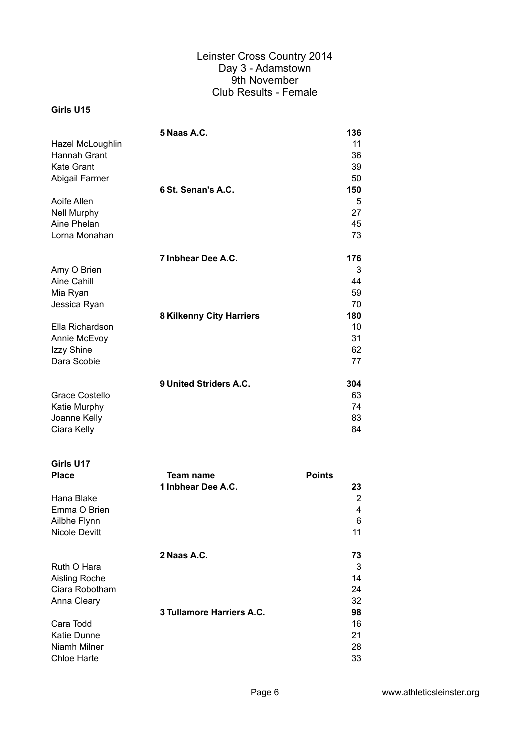|                       | 5 Naas A.C.              | 136 |
|-----------------------|--------------------------|-----|
| Hazel McLoughlin      |                          | 11  |
| Hannah Grant          |                          | 36  |
| <b>Kate Grant</b>     |                          | 39  |
| Abigail Farmer        |                          | 50  |
|                       | 6 St. Senan's A.C.       | 150 |
| Aoife Allen           |                          | 5   |
| <b>Nell Murphy</b>    |                          | 27  |
| Aine Phelan           |                          | 45  |
| Lorna Monahan         |                          | 73  |
|                       | 7 Inbhear Dee A.C.       | 176 |
| Amy O Brien           |                          | 3   |
| Aine Cahill           |                          | 44  |
| Mia Ryan              |                          | 59  |
| Jessica Ryan          |                          | 70  |
|                       | 8 Kilkenny City Harriers | 180 |
| Ella Richardson       |                          | 10  |
| Annie McEvoy          |                          | 31  |
| Izzy Shine            |                          | 62  |
| Dara Scobie           |                          | 77  |
|                       |                          |     |
|                       | 9 United Striders A.C.   | 304 |
| <b>Grace Costello</b> |                          | 63  |
| Katie Murphy          |                          | 74  |
| Joanne Kelly          |                          | 83  |
| Ciara Kelly           |                          | 84  |

| Girls U17          |                           |               |
|--------------------|---------------------------|---------------|
| <b>Place</b>       | Team name                 | <b>Points</b> |
|                    | 1 Inbhear Dee A.C.        | 23            |
| Hana Blake         |                           | 2             |
| Emma O Brien       |                           | 4             |
| Ailbhe Flynn       |                           | 6             |
| Nicole Devitt      |                           | 11            |
|                    | 2 Naas A.C.               | 73            |
| Ruth O Hara        |                           | 3             |
| Aisling Roche      |                           | 14            |
| Ciara Robotham     |                           | 24            |
| Anna Cleary        |                           | 32            |
|                    | 3 Tullamore Harriers A.C. | 98            |
| Cara Todd          |                           | 16            |
| <b>Katie Dunne</b> |                           | 21            |
| Niamh Milner       |                           | 28            |
| Chloe Harte        |                           | 33            |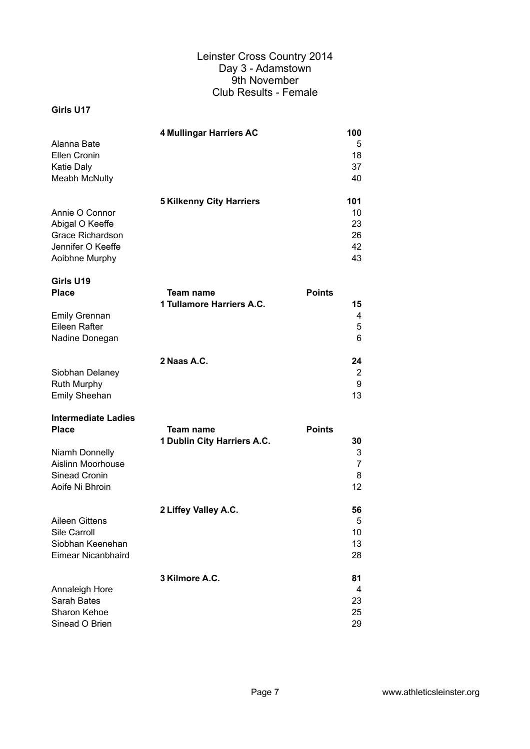#### **Girls U17**

|                      | 4 Mullingar Harriers AC         | 100 |
|----------------------|---------------------------------|-----|
| Alanna Bate          |                                 | 5   |
| Ellen Cronin         |                                 | 18  |
| <b>Katie Daly</b>    |                                 | 37  |
| <b>Meabh McNulty</b> |                                 | 40  |
|                      |                                 |     |
|                      | <b>5 Kilkenny City Harriers</b> | 101 |
| Annie O Connor       |                                 | 10  |
| Abigal O Keeffe      |                                 | 23  |
| Grace Richardson     |                                 | 26  |
| Jennifer O Keeffe    |                                 | 42  |
| Aoibhne Murphy       |                                 | 43  |

| Girls U19<br><b>Place</b> | Team name                 | <b>Points</b> |
|---------------------------|---------------------------|---------------|
|                           | 1 Tullamore Harriers A.C. | 15            |
| <b>Emily Grennan</b>      |                           | 4             |
| Eileen Rafter             |                           | 5             |
| Nadine Donegan            |                           | 6             |
|                           | 2 Naas A.C.               | 24            |
| Siobhan Delaney           |                           | 2             |
| <b>Ruth Murphy</b>        |                           | 9             |
| <b>Emily Sheehan</b>      |                           | 13            |

# **Intermediate Ladies**

| <b>Place</b>       | Team name                   | <b>Points</b>   |
|--------------------|-----------------------------|-----------------|
|                    | 1 Dublin City Harriers A.C. | 30              |
| Niamh Donnelly     |                             | 3               |
| Aislinn Moorhouse  |                             | 7               |
| Sinead Cronin      |                             | 8               |
| Aoife Ni Bhroin    |                             | 12 <sup>2</sup> |
|                    | 2 Liffey Valley A.C.        | 56              |
| Aileen Gittens     |                             | 5               |
| Sile Carroll       |                             | 10              |
| Siobhan Keenehan   |                             | 13              |
| Eimear Nicanbhaird |                             | 28              |
|                    | 3 Kilmore A.C.              | 81              |
| Annaleigh Hore     |                             | 4               |
| Sarah Bates        |                             | 23              |
| Sharon Kehoe       |                             | 25              |
| Sinead O Brien     |                             | 29              |